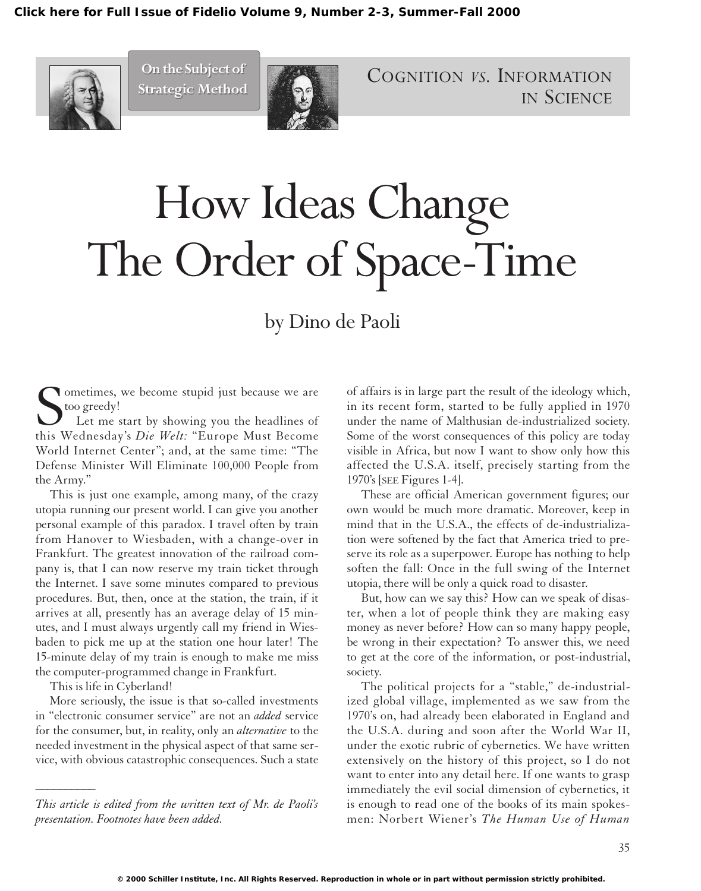

**On the Subject of On the Subject of Strategic Method Strategic Method**



COGNITION *VS.* INFORMATION IN SCIENCE

# How Ideas Change The Order of Space-Time

by Dino de Paoli

S<br>this N ometimes, we become stupid just because we are too greedy!

Let me start by showing you the headlines of this Wednesday's *Die Welt:* "Europe Must Become World Internet Center"; and, at the same time: "The Defense Minister Will Eliminate 100,000 People from the Army."

This is just one example, among many, of the crazy utopia running our present world. I can give you another personal example of this paradox. I travel often by train from Hanover to Wiesbaden, with a change-over in Frankfurt. The greatest innovation of the railroad company is, that I can now reserve my train ticket through the Internet. I save some minutes compared to previous procedures. But, then, once at the station, the train, if it arrives at all, presently has an average delay of 15 minutes, and I must always urgently call my friend in Wiesbaden to pick me up at the station one hour later! The 15-minute delay of my train is enough to make me miss the computer-programmed change in Frankfurt.

This is life in Cyberland!

*\_\_\_\_\_\_\_\_\_\_*

More seriously, the issue is that so-called investments in "electronic consumer service" are not an *added* service for the consumer, but, in reality, only an *alternative* to the needed investment in the physical aspect of that same service, with obvious catastrophic consequences. Such a state

*This article is edited from the written text of Mr. de Paoli's presentation. Footnotes have been added.*

of affairs is in large part the result of the ideology which, in its recent form, started to be fully applied in 1970 under the name of Malthusian de-industrialized society. Some of the worst consequences of this policy are today visible in Africa, but now I want to show only how this affected the U.S.A. itself, precisely starting from the 1970's [SEE Figures 1-4].

These are official American government figures; our own would be much more dramatic. Moreover, keep in mind that in the U.S.A., the effects of de-industrialization were softened by the fact that America tried to preserve its role as a superpower. Europe has nothing to help soften the fall: Once in the full swing of the Internet utopia, there will be only a quick road to disaster.

But, how can we say this? How can we speak of disaster, when a lot of people think they are making easy money as never before? How can so many happy people, be wrong in their expectation? To answer this, we need to get at the core of the information, or post-industrial, society.

The political projects for a "stable," de-industrialized global village, implemented as we saw from the 1970's on, had already been elaborated in England and the U.S.A. during and soon after the World War II, under the exotic rubric of cybernetics. We have written extensively on the history of this project, so I do not want to enter into any detail here. If one wants to grasp immediately the evil social dimension of cybernetics, it is enough to read one of the books of its main spokesmen: Norbert Wiener's *The Human Use of Human*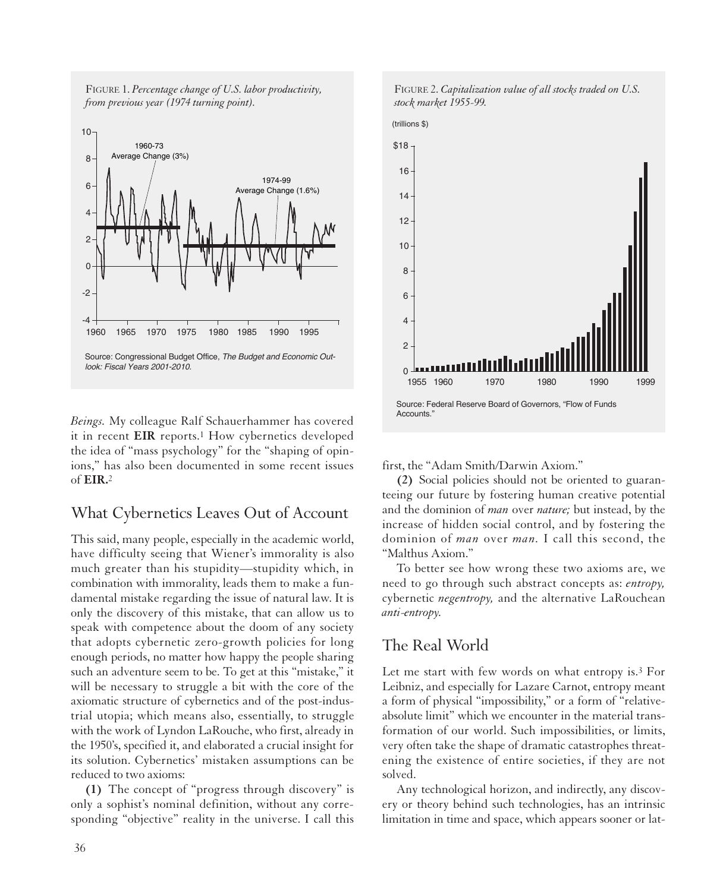



*Beings.* My colleague Ralf Schauerhammer has covered it in recent **EIR** reports.1 How cybernetics developed the idea of "mass psychology" for the "shaping of opinions," has also been documented in some recent issues of **EIR.**2

# What Cybernetics Leaves Out of Account

This said, many people, especially in the academic world, have difficulty seeing that Wiener's immorality is also much greater than his stupidity—stupidity which, in combination with immorality, leads them to make a fundamental mistake regarding the issue of natural law. It is only the discovery of this mistake, that can allow us to speak with competence about the doom of any society that adopts cybernetic zero-growth policies for long enough periods, no matter how happy the people sharing such an adventure seem to be. To get at this "mistake," it will be necessary to struggle a bit with the core of the axiomatic structure of cybernetics and of the post-industrial utopia; which means also, essentially, to struggle with the work of Lyndon LaRouche, who first, already in the 1950's, specified it, and elaborated a crucial insight for its solution. Cybernetics' mistaken assumptions can be reduced to two axioms:

**(1)** The concept of "progress through discovery" is only a sophist's nominal definition, without any corresponding "objective" reality in the universe. I call this





first, the "Adam Smith/Darwin Axiom."

**(2)** Social policies should not be oriented to guaranteeing our future by fostering human creative potential and the dominion of *man* over *nature;* but instead, by the increase of hidden social control, and by fostering the dominion of *man* over *man.* I call this second, the "Malthus Axiom."

To better see how wrong these two axioms are, we need to go through such abstract concepts as: *entropy,* cybernetic *negentropy,* and the alternative LaRouchean *anti-entropy.*

### The Real World

Let me start with few words on what entropy is.3 For Leibniz, and especially for Lazare Carnot, entropy meant a form of physical "impossibility," or a form of "relativeabsolute limit" which we encounter in the material transformation of our world. Such impossibilities, or limits, very often take the shape of dramatic catastrophes threatening the existence of entire societies, if they are not solved.

Any technological horizon, and indirectly, any discovery or theory behind such technologies, has an intrinsic limitation in time and space, which appears sooner or lat-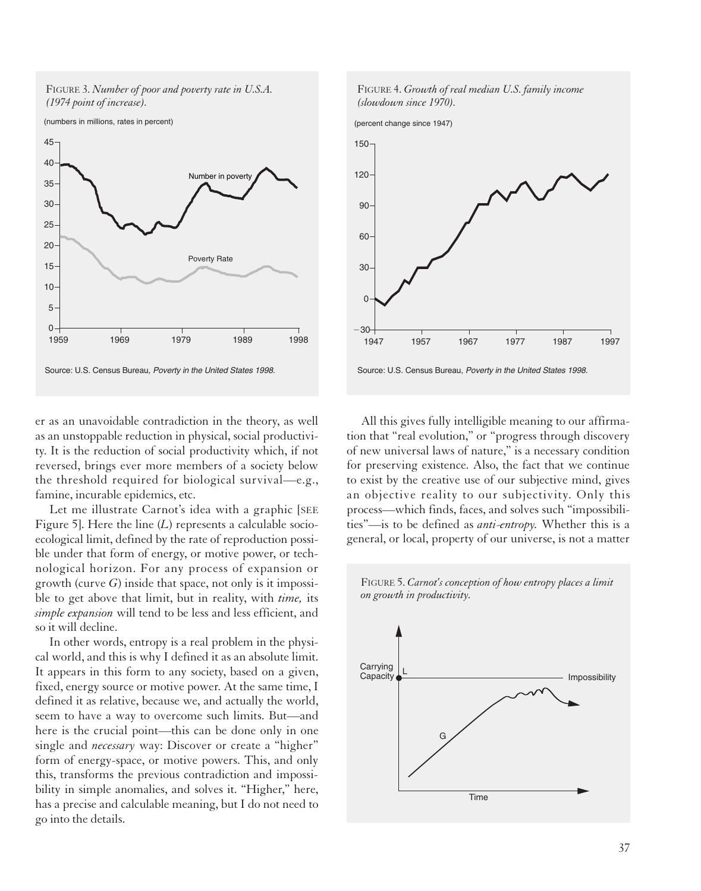

er as an unavoidable contradiction in the theory, as well as an unstoppable reduction in physical, social productivity. It is the reduction of social productivity which, if not reversed, brings ever more members of a society below the threshold required for biological survival—e.g., famine, incurable epidemics, etc.

Let me illustrate Carnot's idea with a graphic [SEE Figure 5]. Here the line (*L*) represents a calculable socioecological limit, defined by the rate of reproduction possible under that form of energy, or motive power, or technological horizon. For any process of expansion or growth (curve *G*) inside that space, not only is it impossible to get above that limit, but in reality, with *time,* its *simple expansion* will tend to be less and less efficient, and so it will decline.

In other words, entropy is a real problem in the physical world, and this is why I defined it as an absolute limit. It appears in this form to any society, based on a given, fixed, energy source or motive power. At the same time, I defined it as relative, because we, and actually the world, seem to have a way to overcome such limits. But—and here is the crucial point—this can be done only in one single and *necessary* way: Discover or create a "higher" form of energy-space, or motive powers. This, and only this, transforms the previous contradiction and impossibility in simple anomalies, and solves it. "Higher," here, has a precise and calculable meaning, but I do not need to go into the details.



All this gives fully intelligible meaning to our affirmation that "real evolution," or "progress through discovery of new universal laws of nature," is a necessary condition for preserving existence. Also, the fact that we continue to exist by the creative use of our subjective mind, gives an objective reality to our subjectivity. Only this process—which finds, faces, and solves such "impossibilities"—is to be defined as *anti-entropy.* Whether this is a general, or local, property of our universe, is not a matter



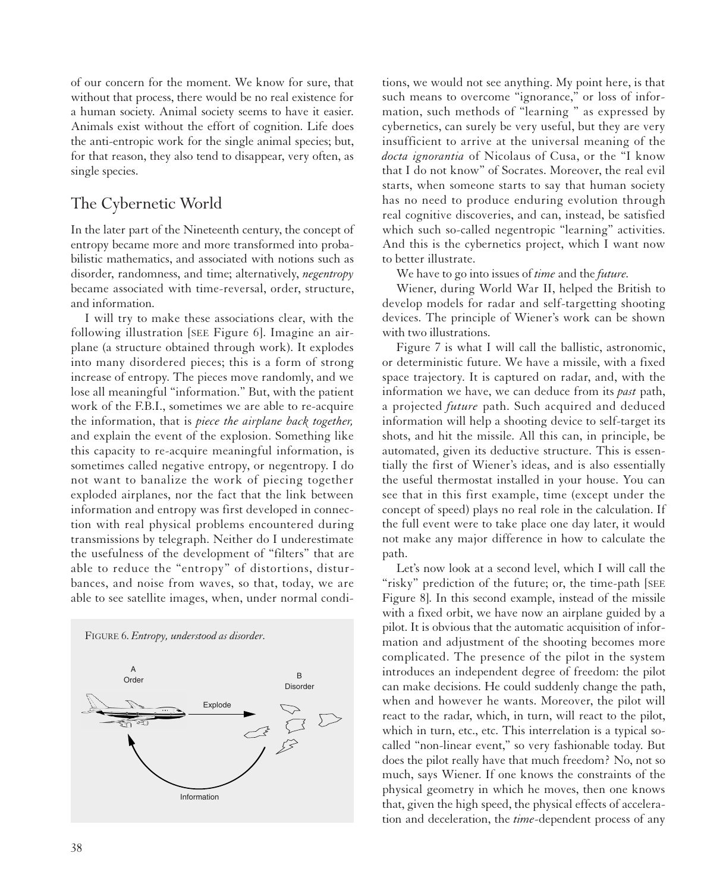of our concern for the moment. We know for sure, that without that process, there would be no real existence for a human society. Animal society seems to have it easier. Animals exist without the effort of cognition. Life does the anti-entropic work for the single animal species; but, for that reason, they also tend to disappear, very often, as single species.

# The Cybernetic World

In the later part of the Nineteenth century, the concept of entropy became more and more transformed into probabilistic mathematics, and associated with notions such as disorder, randomness, and time; alternatively, *negentropy* became associated with time-reversal, order, structure, and information.

I will try to make these associations clear, with the following illustration [SEE Figure 6]. Imagine an airplane (a structure obtained through work). It explodes into many disordered pieces; this is a form of strong increase of entropy. The pieces move randomly, and we lose all meaningful "information." But, with the patient work of the F.B.I., sometimes we are able to re-acquire the information, that is *piece the airplane back together,* and explain the event of the explosion. Something like this capacity to re-acquire meaningful information, is sometimes called negative entropy, or negentropy. I do not want to banalize the work of piecing together exploded airplanes, nor the fact that the link between information and entropy was first developed in connection with real physical problems encountered during transmissions by telegraph. Neither do I underestimate the usefulness of the development of "filters" that are able to reduce the "entropy" of distortions, disturbances, and noise from waves, so that, today, we are able to see satellite images, when, under normal condi-



FIGURE 6. *Entropy, understood as disorder.*

tions, we would not see anything. My point here, is that such means to overcome "ignorance," or loss of information, such methods of "learning " as expressed by cybernetics, can surely be very useful, but they are very insufficient to arrive at the universal meaning of the *docta ignorantia* of Nicolaus of Cusa, or the "I know that I do not know" of Socrates. Moreover, the real evil starts, when someone starts to say that human society has no need to produce enduring evolution through real cognitive discoveries, and can, instead, be satisfied which such so-called negentropic "learning" activities. And this is the cybernetics project, which I want now to better illustrate.

We have to go into issues of *time* and the *future.*

Wiener, during World War II, helped the British to develop models for radar and self-targetting shooting devices. The principle of Wiener's work can be shown with two illustrations.

Figure 7 is what I will call the ballistic, astronomic, or deterministic future. We have a missile, with a fixed space trajectory. It is captured on radar, and, with the information we have, we can deduce from its *past* path, a projected *future* path. Such acquired and deduced information will help a shooting device to self-target its shots, and hit the missile. All this can, in principle, be automated, given its deductive structure. This is essentially the first of Wiener's ideas, and is also essentially the useful thermostat installed in your house. You can see that in this first example, time (except under the concept of speed) plays no real role in the calculation. If the full event were to take place one day later, it would not make any major difference in how to calculate the path.

Let's now look at a second level, which I will call the "risky" prediction of the future; or, the time-path [SEE Figure 8]. In this second example, instead of the missile with a fixed orbit, we have now an airplane guided by a pilot. It is obvious that the automatic acquisition of information and adjustment of the shooting becomes more complicated. The presence of the pilot in the system introduces an independent degree of freedom: the pilot can make decisions. He could suddenly change the path, when and however he wants. Moreover, the pilot will react to the radar, which, in turn, will react to the pilot, which in turn, etc., etc. This interrelation is a typical socalled "non-linear event," so very fashionable today. But does the pilot really have that much freedom? No, not so much, says Wiener. If one knows the constraints of the physical geometry in which he moves, then one knows that, given the high speed, the physical effects of acceleration and deceleration, the *time*-dependent process of any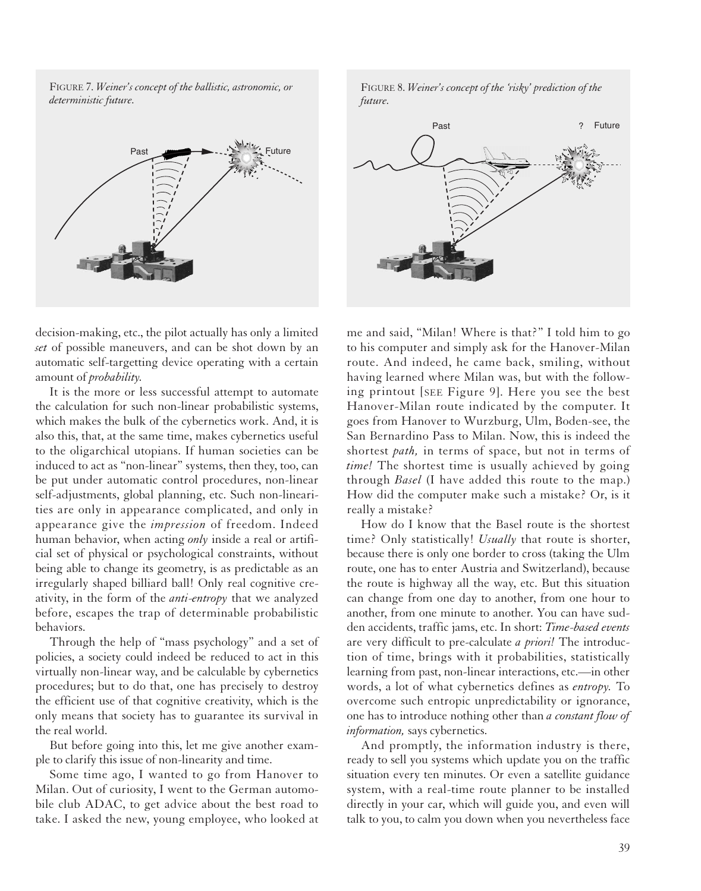FIGURE 7. *Weiner's concept of the ballistic, astronomic, or deterministic future.*



FIGURE 8. *Weiner's concept of the 'risky' prediction of the future.*



decision-making, etc., the pilot actually has only a limited *set* of possible maneuvers, and can be shot down by an automatic self-targetting device operating with a certain amount of *probability.*

It is the more or less successful attempt to automate the calculation for such non-linear probabilistic systems, which makes the bulk of the cybernetics work. And, it is also this, that, at the same time, makes cybernetics useful to the oligarchical utopians. If human societies can be induced to act as "non-linear" systems, then they, too, can be put under automatic control procedures, non-linear self-adjustments, global planning, etc. Such non-linearities are only in appearance complicated, and only in appearance give the *impression* of freedom. Indeed human behavior, when acting *only* inside a real or artificial set of physical or psychological constraints, without being able to change its geometry, is as predictable as an irregularly shaped billiard ball! Only real cognitive creativity, in the form of the *anti-entropy* that we analyzed before, escapes the trap of determinable probabilistic behaviors.

Through the help of "mass psychology" and a set of policies, a society could indeed be reduced to act in this virtually non-linear way, and be calculable by cybernetics procedures; but to do that, one has precisely to destroy the efficient use of that cognitive creativity, which is the only means that society has to guarantee its survival in the real world.

But before going into this, let me give another example to clarify this issue of non-linearity and time.

Some time ago, I wanted to go from Hanover to Milan. Out of curiosity, I went to the German automobile club ADAC, to get advice about the best road to take. I asked the new, young employee, who looked at me and said, "Milan! Where is that?" I told him to go to his computer and simply ask for the Hanover-Milan route. And indeed, he came back, smiling, without having learned where Milan was, but with the following printout [SEE Figure 9]. Here you see the best Hanover-Milan route indicated by the computer. It goes from Hanover to Wurzburg, Ulm, Boden-see, the San Bernardino Pass to Milan. Now, this is indeed the shortest *path,* in terms of space, but not in terms of *time!* The shortest time is usually achieved by going through *Basel* (I have added this route to the map.) How did the computer make such a mistake? Or, is it really a mistake?

How do I know that the Basel route is the shortest time? Only statistically! *Usually* that route is shorter, because there is only one border to cross (taking the Ulm route, one has to enter Austria and Switzerland), because the route is highway all the way, etc. But this situation can change from one day to another, from one hour to another, from one minute to another. You can have sudden accidents, traffic jams, etc. In short: *Time-based events* are very difficult to pre-calculate *a priori!* The introduction of time, brings with it probabilities, statistically learning from past, non-linear interactions, etc.—in other words, a lot of what cybernetics defines as *entropy.* To overcome such entropic unpredictability or ignorance, one has to introduce nothing other than *a constant flow of information,* says cybernetics.

And promptly, the information industry is there, ready to sell you systems which update you on the traffic situation every ten minutes. Or even a satellite guidance system, with a real-time route planner to be installed directly in your car, which will guide you, and even will talk to you, to calm you down when you nevertheless face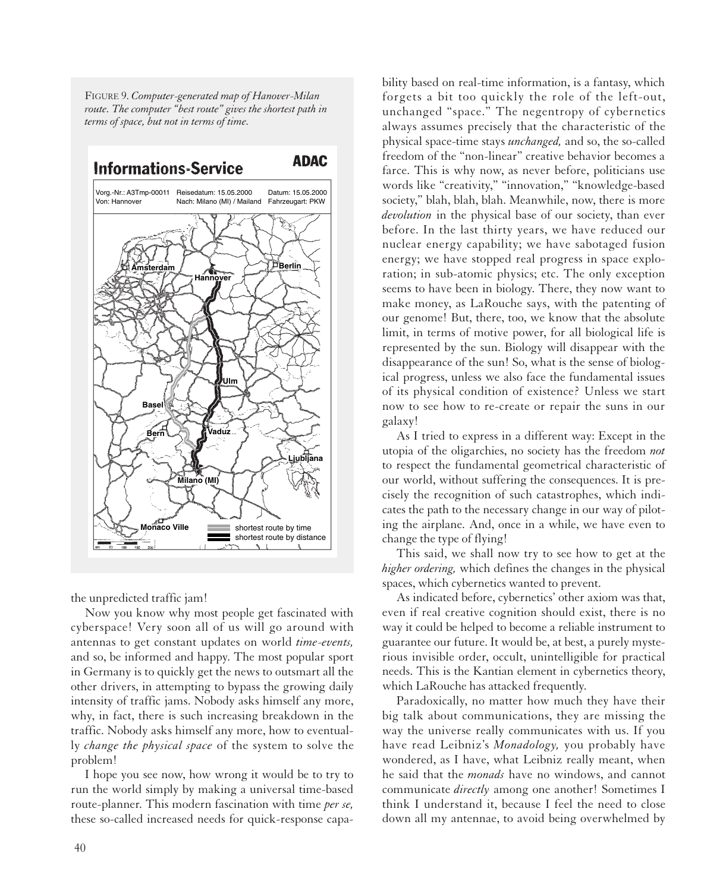FIGURE 9. *Computer-generated map of Hanover-Milan route. The computer "best route" gives the shortest path in terms of space, but not in terms of time.*



the unpredicted traffic jam!

Now you know why most people get fascinated with cyberspace! Very soon all of us will go around with antennas to get constant updates on world *time-events,* and so, be informed and happy. The most popular sport in Germany is to quickly get the news to outsmart all the other drivers, in attempting to bypass the growing daily intensity of traffic jams. Nobody asks himself any more, why, in fact, there is such increasing breakdown in the traffic. Nobody asks himself any more, how to eventually *change the physical space* of the system to solve the problem!

I hope you see now, how wrong it would be to try to run the world simply by making a universal time-based route-planner. This modern fascination with time *per se,* these so-called increased needs for quick-response capability based on real-time information, is a fantasy, which forgets a bit too quickly the role of the left-out, unchanged "space." The negentropy of cybernetics always assumes precisely that the characteristic of the physical space-time stays *unchanged,* and so, the so-called freedom of the "non-linear" creative behavior becomes a farce. This is why now, as never before, politicians use words like "creativity," "innovation," "knowledge-based society," blah, blah, blah. Meanwhile, now, there is more *devolution* in the physical base of our society, than ever before. In the last thirty years, we have reduced our nuclear energy capability; we have sabotaged fusion energy; we have stopped real progress in space exploration; in sub-atomic physics; etc. The only exception seems to have been in biology. There, they now want to make money, as LaRouche says, with the patenting of our genome! But, there, too, we know that the absolute limit, in terms of motive power, for all biological life is represented by the sun. Biology will disappear with the disappearance of the sun! So, what is the sense of biological progress, unless we also face the fundamental issues of its physical condition of existence? Unless we start now to see how to re-create or repair the suns in our galaxy!

As I tried to express in a different way: Except in the utopia of the oligarchies, no society has the freedom *not* to respect the fundamental geometrical characteristic of our world, without suffering the consequences. It is precisely the recognition of such catastrophes, which indicates the path to the necessary change in our way of piloting the airplane. And, once in a while, we have even to change the type of flying!

This said, we shall now try to see how to get at the *higher ordering,* which defines the changes in the physical spaces, which cybernetics wanted to prevent.

As indicated before, cybernetics' other axiom was that, even if real creative cognition should exist, there is no way it could be helped to become a reliable instrument to guarantee our future. It would be, at best, a purely mysterious invisible order, occult, unintelligible for practical needs. This is the Kantian element in cybernetics theory, which LaRouche has attacked frequently.

Paradoxically, no matter how much they have their big talk about communications, they are missing the way the universe really communicates with us. If you have read Leibniz's *Monadology,* you probably have wondered, as I have, what Leibniz really meant, when he said that the *monads* have no windows, and cannot communicate *directly* among one another! Sometimes I think I understand it, because I feel the need to close down all my antennae, to avoid being overwhelmed by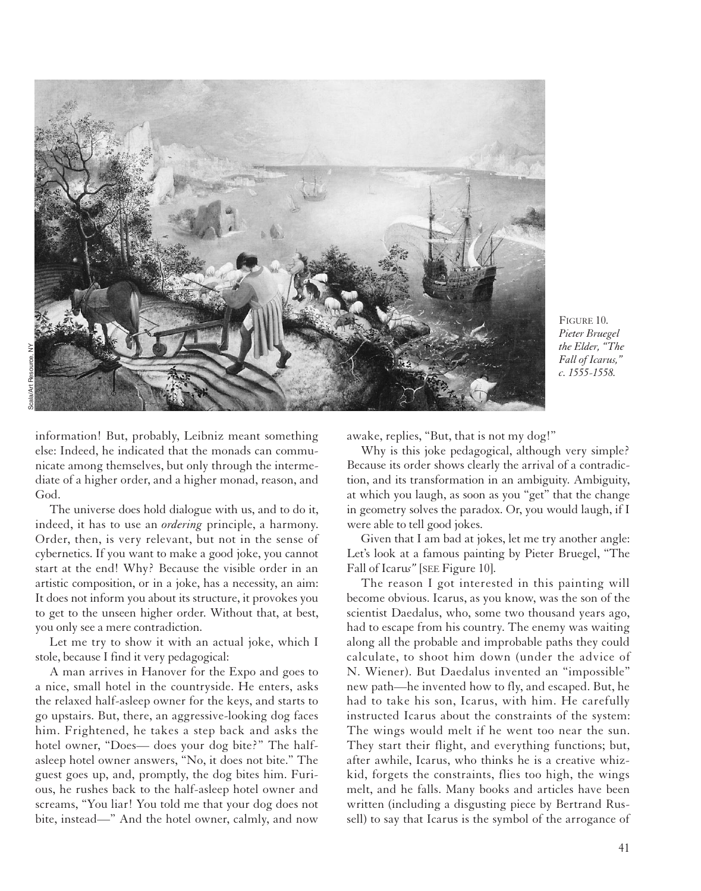

FIGURE 10. *Pieter Bruegel the Elder, "The Fall of Icarus," c. 1555-1558.*

information! But, probably, Leibniz meant something else: Indeed, he indicated that the monads can communicate among themselves, but only through the intermediate of a higher order, and a higher monad, reason, and God.

The universe does hold dialogue with us, and to do it, indeed, it has to use an *ordering* principle, a harmony. Order, then, is very relevant, but not in the sense of cybernetics. If you want to make a good joke, you cannot start at the end! Why? Because the visible order in an artistic composition, or in a joke, has a necessity, an aim: It does not inform you about its structure, it provokes you to get to the unseen higher order. Without that, at best, you only see a mere contradiction.

Let me try to show it with an actual joke, which I stole, because I find it very pedagogical:

A man arrives in Hanover for the Expo and goes to a nice, small hotel in the countryside. He enters, asks the relaxed half-asleep owner for the keys, and starts to go upstairs. But, there, an aggressive-looking dog faces him. Frightened, he takes a step back and asks the hotel owner, "Does— does your dog bite?" The halfasleep hotel owner answers, "No, it does not bite." The guest goes up, and, promptly, the dog bites him. Furious, he rushes back to the half-asleep hotel owner and screams, "You liar! You told me that your dog does not bite, instead—" And the hotel owner, calmly, and now

awake, replies, "But, that is not my dog!"

Why is this joke pedagogical, although very simple? Because its order shows clearly the arrival of a contradiction, and its transformation in an ambiguity. Ambiguity, at which you laugh, as soon as you "get" that the change in geometry solves the paradox. Or, you would laugh, if I were able to tell good jokes.

Given that I am bad at jokes, let me try another angle: Let's look at a famous painting by Pieter Bruegel, "The Fall of Icaru*s"* [SEE Figure 10].

The reason I got interested in this painting will become obvious. Icarus, as you know, was the son of the scientist Daedalus, who, some two thousand years ago, had to escape from his country. The enemy was waiting along all the probable and improbable paths they could calculate, to shoot him down (under the advice of N. Wiener). But Daedalus invented an "impossible" new path—he invented how to fly, and escaped. But, he had to take his son, Icarus, with him. He carefully instructed Icarus about the constraints of the system: The wings would melt if he went too near the sun. They start their flight, and everything functions; but, after awhile, Icarus, who thinks he is a creative whizkid, forgets the constraints, flies too high, the wings melt, and he falls. Many books and articles have been written (including a disgusting piece by Bertrand Russell) to say that Icarus is the symbol of the arrogance of